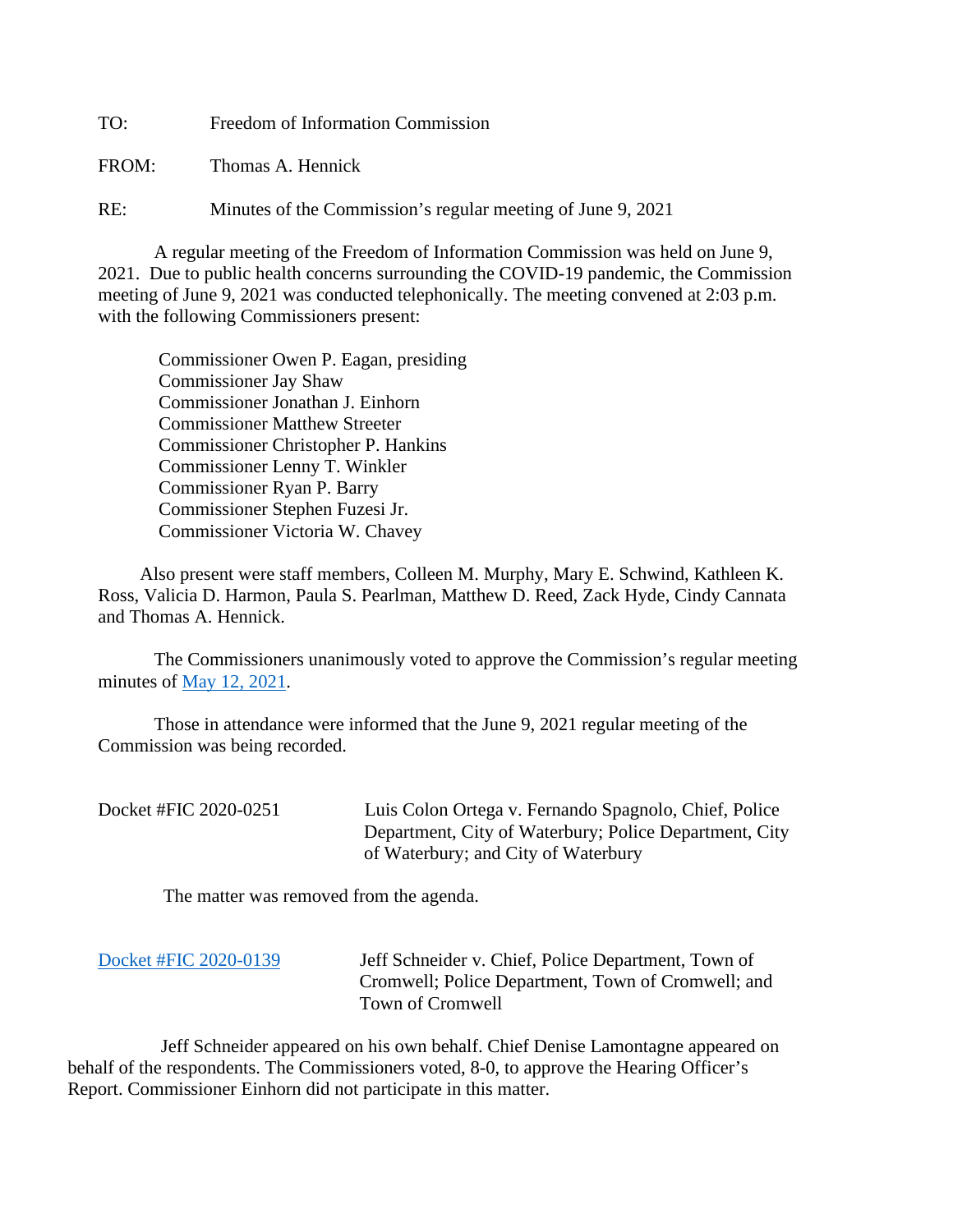TO: Freedom of Information Commission

FROM: Thomas A. Hennick

RE: Minutes of the Commission's regular meeting of June 9, 2021

A regular meeting of the Freedom of Information Commission was held on June 9, 2021. Due to public health concerns surrounding the COVID-19 pandemic, the Commission meeting of June 9, 2021 was conducted telephonically. The meeting convened at 2:03 p.m. with the following Commissioners present:

 Commissioner Owen P. Eagan, presiding Commissioner Jay Shaw Commissioner Jonathan J. Einhorn Commissioner Matthew Streeter Commissioner Christopher P. Hankins Commissioner Lenny T. Winkler Commissioner Ryan P. Barry Commissioner Stephen Fuzesi Jr. Commissioner Victoria W. Chavey

 Also present were staff members, Colleen M. Murphy, Mary E. Schwind, Kathleen K. Ross, Valicia D. Harmon, Paula S. Pearlman, Matthew D. Reed, Zack Hyde, Cindy Cannata and Thomas A. Hennick.

The Commissioners unanimously voted to approve the Commission's regular meeting minutes of [May 12, 2021.](https://portal.ct.gov/-/media/FOI/Minutes/2021/Minutes-5-12-2021.pdf)

 Those in attendance were informed that the June 9, 2021 regular meeting of the Commission was being recorded.

| Docket #FIC 2020-0251 | Luis Colon Ortega v. Fernando Spagnolo, Chief, Police  |
|-----------------------|--------------------------------------------------------|
|                       | Department, City of Waterbury; Police Department, City |
|                       | of Waterbury; and City of Waterbury                    |

The matter was removed from the agenda.

| Docket #FIC 2020-0139 | Jeff Schneider v. Chief, Police Department, Town of |
|-----------------------|-----------------------------------------------------|
|                       | Cromwell; Police Department, Town of Cromwell; and  |
|                       | Town of Cromwell                                    |

 Jeff Schneider appeared on his own behalf. Chief Denise Lamontagne appeared on behalf of the respondents. The Commissioners voted, 8-0, to approve the Hearing Officer's Report. Commissioner Einhorn did not participate in this matter.